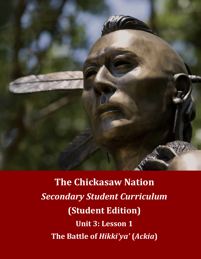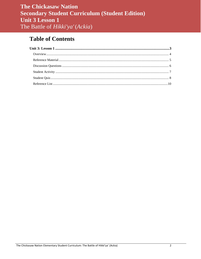# **Table of Contents**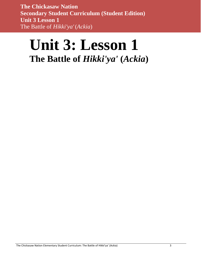# <span id="page-2-0"></span>**Unit 3: Lesson 1 The Battle of** *Hikki'ya'* **(***Ackia***)**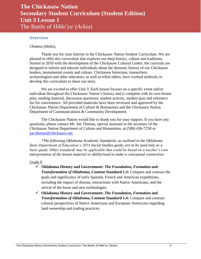### <span id="page-3-0"></span>**Overview**

*Chokma* (Hello),

Thank you for your interest in the Chickasaw Nation Student Curriculum. We are pleased to offer this curriculum that explores our deep history, culture and traditions. Started in 2010 with the development of the Chickasaw Cultural Center, the curricula are designed to inform and educate individuals about the dynamic history of our Chickasaw leaders, monumental events and culture. Chickasaw historians, researchers, archaeologists and other educators, as well as tribal elders, have worked tirelessly to develop this curriculum to share our story.

We are excited to offer Unit 3. Each lesson focuses on a specific event and/or individual throughout the Chickasaw Nation's history and is complete with its own lesson plan, reading material, discussion questions, student activity, student quiz and reference list for convenience. All provided materials have been reviewed and approved by the Chickasaw Nation Department of Culture & Humanities and the Chickasaw Nation Department of Communications & Community Development.

The Chickasaw Nation would like to thank you for your support. If you have any questions, please contact Mr. Joe Thomas, special assistant to the secretary of the Chickasaw Nation Department of Culture and Humanities, at (580) 436-7258 or [joe.thomas@chickasaw.net.](mailto:joe.thomas@chickasaw.net)

*\*The following Oklahoma Academic Standards, as outlined in the Oklahoma State Department of Education's 2014 Social Studies guide, are to be used only as a basic guide. Other standards may be applicable that could be based on a teacher's own interpretation of the lesson material or ability/need to make a conceptual connection:*

### Grade 9

- **Oklahoma History and Government:** *The Foundation, Formation and Transformation of Oklahoma***, Content Standard 1.3:** Compare and contrast the goals and significance of early Spanish, French and American expeditions, including the impact of disease, interactions with Native Americans, and the arrival of the horse and new technologies.
- **Oklahoma History and Government:** *The Foundation, Formation and Transformation of Oklahoma***, Content Standard 1.4:** Compare and contrast cultural perspectives of Native Americans and European Americans regarding land ownership and trading practices.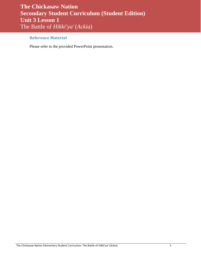## <span id="page-4-0"></span>**Reference Material**

Please refer to the provided PowerPoint presentation.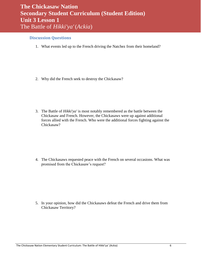### <span id="page-5-0"></span>**Discussion Questions**

1. What events led up to the French driving the Natchez from their homeland?

2. Why did the French seek to destroy the Chickasaw?

3. The Battle of *Hikki'ya'* is most notably remembered as the battle between the Chickasaw and French. However, the Chickasaws were up against additional forces allied with the French. Who were the additional forces fighting against the Chickasaw?

4. The Chickasaws requested peace with the French on several occasions. What was promised from the Chickasaw's request?

5. In your opinion, how did the Chickasaws defeat the French and drive them from Chickasaw Territory?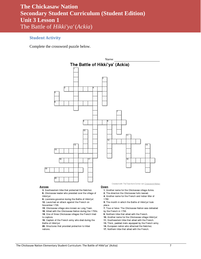# <span id="page-6-0"></span>**Student Activity**

Complete the crossword puzzle below.



#### **Across**

3. Southeastern tribe that protected the Natchez. 6. Chickasaw leader who presided over the village of

- Hikki'ya'. 8. Louisiana governor during the Battle of Hikki'ya'. 12. Launched an attack against the French on
- November 1729.
- 15. Chickasaw village also known as Long Town.
- 16. Allied with the Chickasaw Nation during the 1700s. 18. One of three Chickasaw villages the French tried
- to capture.
- 19. Captain of the French army who died during the Battle of Hikki'ya'.

20. Structures that provided protection to tribal nations.

#### <u>Down</u>

- 1. Another name for the Chickasaw village Ackia.
- 2. The direction the Chickasaw forts leaned.
- 4. Another name for the French and Indian War of 1763
- 5. The month in which the Battle of Hikki'va' took place.
- 7. True or false: The Chickasaw Nation was defeated by the French in 1736.
- 9. Northern tribe that allied with the French.
- 10. Another name for the Chickasaw village Hikki'ya'.
- 11. Southeastern tribe that allied with the French.
- 13. Thick, padded mats equipped by the French army.
- 14. European nation who attacked the Natchez.
- 17. Northern tribe that allied with the French.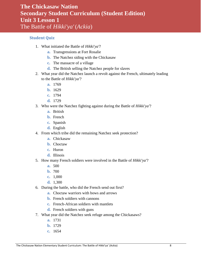### <span id="page-7-0"></span>**Student Quiz**

- 1. What initiated the Battle of *Hikki'ya'*?
	- **a.** Transgressions at Fort Rosalie
	- **b.** The Natchez siding with the Chickasaw
	- **c.** The massacre of a village
	- **d.** The British selling the Natchez people for slaves
- 2. What year did the Natchez launch a revolt against the French, ultimately leading to the Battle of *Hikki'ya'*?
	- **a.** 1769
	- **b.** 1629
	- **c.** 1794
	- **d.** 1729
- 3. Who were the Natchez fighting against during the Battle of *Hikki'ya'*?
	- **a.** British
	- **b.** French
	- **c.** Spanish
	- **d.** English
- 4. From which tribe did the remaining Natchez seek protection?
	- **a.** Chickasaw
	- **b.** Choctaw
	- **c.** Huron
	- **d.** Illinois
- 5. How many French soldiers were involved in the Battle of *Hikki'ya'*?
	- **a.** 500
	- **b.** 700
	- **c.** 1,000
	- **d.** 1,300
- 6. During the battle, who did the French send out first?
	- **a.** Choctaw warriors with bows and arrows
	- **b.** French soldiers with cannons
	- **c.** French-African soldiers with mantlets
	- **d.** French soldiers with guns
- 7. What year did the Natchez seek refuge among the Chickasaws?
	- **a.** 1731
	- **b.** 1729
	- **c.** 1654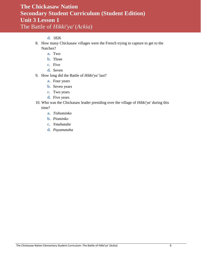### **d.** 1826

- 8. How many Chickasaw villages were the French trying to capture to get to the Natchez?
	- **a.** Two
	- **b.** Three
	- **c.** Five
	- **d.** Seven
- 9. How long did the Battle of *Hikki'ya'* last?
	- **a.** Four years
	- **b.** Seven years
	- **c.** Two years
	- **d.** Five years
- 10. Who was the Chickasaw leader presiding over the village of *Hikki'ya'* during this time?
	- **a.** *Tishominko*
	- **b.** *Piominko*
	- **c.** *Ymahatabe*
	- **d.** *Payamataha*